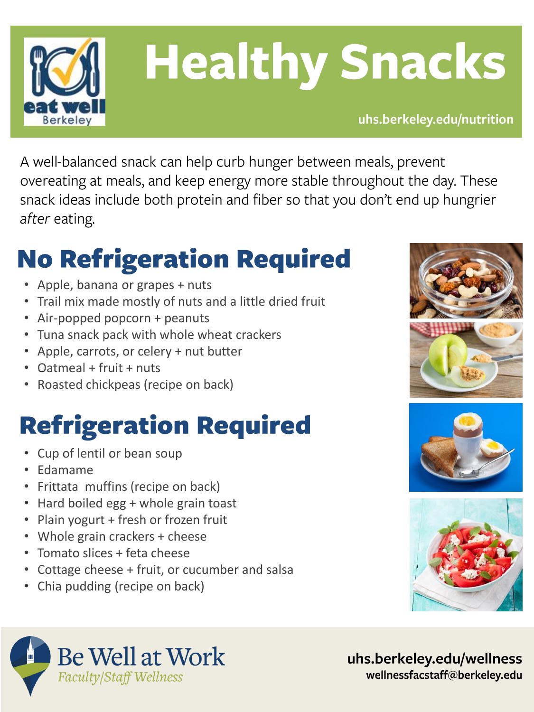

## **Healthy Snacks**

uhs.berkeley.edu/nutrition

A well-balanced snack can help curb hunger between meals, prevent overeating at meals, and keep energy more stable throughout the day. These snack ideas include both protein and fiber so that you don't end up hungrier after eating.

## **No Refrigeration Required**

- Apple, banana or grapes + nuts
- Trail mix made mostly of nuts and a little dried fruit
- Air-popped popcorn + peanuts
- Tuna snack pack with whole wheat crackers
- Apple, carrots, or celery + nut butter
- Oatmeal + fruit + nuts
- Roasted chickpeas (recipe on back)

### **Refrigeration Required**

- Cup of lentil or bean soup
- Edamame
- Frittata muffins (recipe on back)
- Hard boiled egg + whole grain toast
- Plain yogurt + fresh or frozen fruit
- Whole grain crackers + cheese
- Tomato slices + feta cheese
- Cottage cheese + fruit, or cucumber and salsa
- Chia pudding (recipe on back)









uhs.berkeley.edu/wellness wellnessfacstaff@berkeley.edu